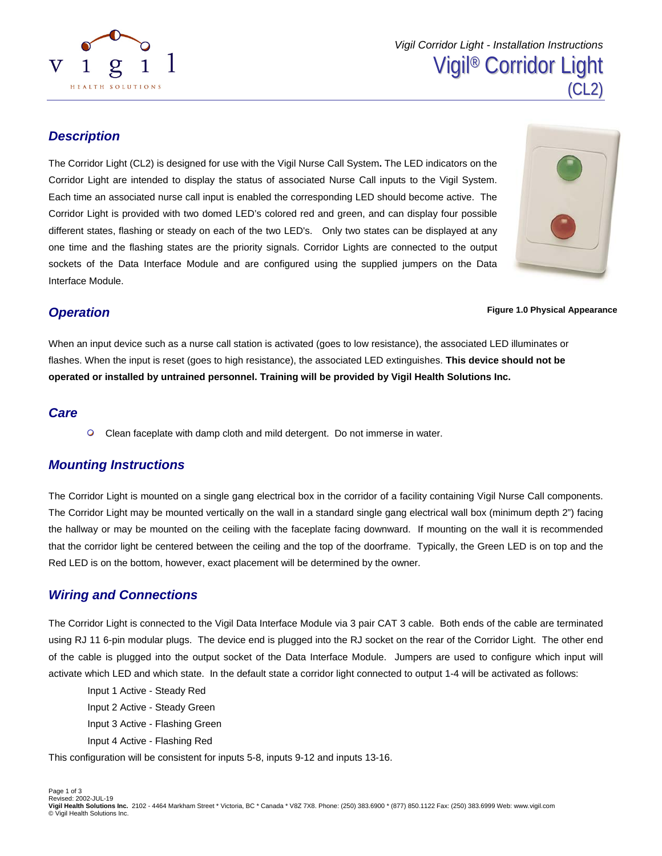

#### *Description*

The Corridor Light (CL2) is designed for use with the Vigil Nurse Call System**.** The LED indicators on the Corridor Light are intended to display the status of associated Nurse Call inputs to the Vigil System. Each time an associated nurse call input is enabled the corresponding LED should become active. The Corridor Light is provided with two domed LED's colored red and green, and can display four possible different states, flashing or steady on each of the two LED's. Only two states can be displayed at any one time and the flashing states are the priority signals. Corridor Lights are connected to the output sockets of the Data Interface Module and are configured using the supplied jumpers on the Data Interface Module.



#### *Operation*

**Figure 1.0 Physical Appearance** 

When an input device such as a nurse call station is activated (goes to low resistance), the associated LED illuminates or flashes. When the input is reset (goes to high resistance), the associated LED extinguishes. **This device should not be operated or installed by untrained personnel. Training will be provided by Vigil Health Solutions Inc.** 

#### *Care*

 $\circ$ Clean faceplate with damp cloth and mild detergent. Do not immerse in water.

# *Mounting Instructions*

The Corridor Light is mounted on a single gang electrical box in the corridor of a facility containing Vigil Nurse Call components. The Corridor Light may be mounted vertically on the wall in a standard single gang electrical wall box (minimum depth 2") facing the hallway or may be mounted on the ceiling with the faceplate facing downward. If mounting on the wall it is recommended that the corridor light be centered between the ceiling and the top of the doorframe. Typically, the Green LED is on top and the Red LED is on the bottom, however, exact placement will be determined by the owner.

# *Wiring and Connections*

The Corridor Light is connected to the Vigil Data Interface Module via 3 pair CAT 3 cable. Both ends of the cable are terminated using RJ 11 6-pin modular plugs. The device end is plugged into the RJ socket on the rear of the Corridor Light. The other end of the cable is plugged into the output socket of the Data Interface Module. Jumpers are used to configure which input will activate which LED and which state. In the default state a corridor light connected to output 1-4 will be activated as follows:

Input 1 Active - Steady Red Input 2 Active - Steady Green Input 3 Active - Flashing Green Input 4 Active - Flashing Red

This configuration will be consistent for inputs 5-8, inputs 9-12 and inputs 13-16.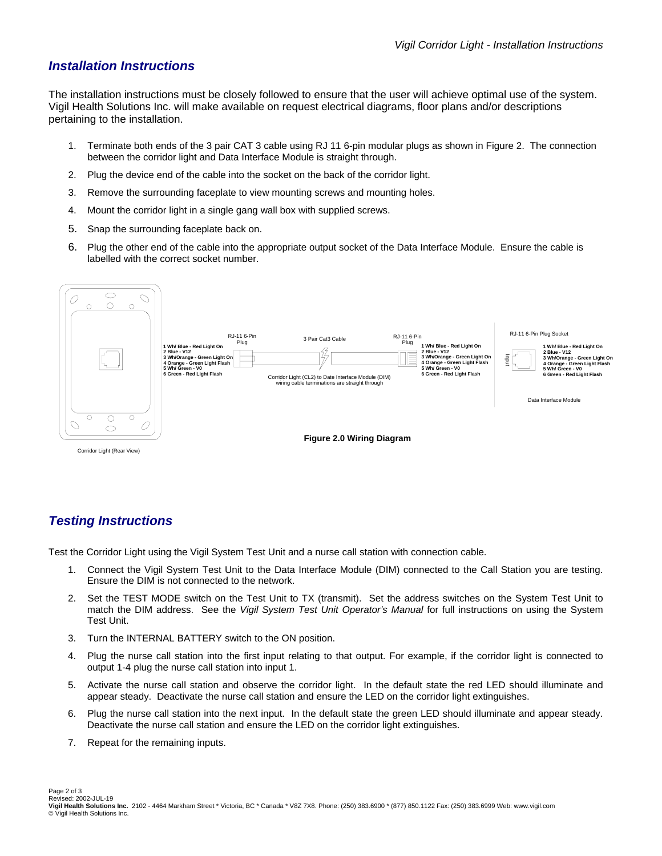#### *Installation Instructions*

The installation instructions must be closely followed to ensure that the user will achieve optimal use of the system. Vigil Health Solutions Inc. will make available on request electrical diagrams, floor plans and/or descriptions pertaining to the installation.

- 1. Terminate both ends of the 3 pair CAT 3 cable using RJ 11 6-pin modular plugs as shown in Figure 2. The connection between the corridor light and Data Interface Module is straight through.
- 2. Plug the device end of the cable into the socket on the back of the corridor light.
- 3. Remove the surrounding faceplate to view mounting screws and mounting holes.
- 4. Mount the corridor light in a single gang wall box with supplied screws.
- 5. Snap the surrounding faceplate back on.
- 6. Plug the other end of the cable into the appropriate output socket of the Data Interface Module. Ensure the cable is labelled with the correct socket number.



# *Testing Instructions*

Test the Corridor Light using the Vigil System Test Unit and a nurse call station with connection cable.

- 1. Connect the Vigil System Test Unit to the Data Interface Module (DIM) connected to the Call Station you are testing. Ensure the DIM is not connected to the network.
- 2. Set the TEST MODE switch on the Test Unit to TX (transmit). Set the address switches on the System Test Unit to match the DIM address. See the *Vigil System Test Unit Operator's Manual* for full instructions on using the System Test Unit.
- 3. Turn the INTERNAL BATTERY switch to the ON position.
- 4. Plug the nurse call station into the first input relating to that output. For example, if the corridor light is connected to output 1-4 plug the nurse call station into input 1.
- 5. Activate the nurse call station and observe the corridor light. In the default state the red LED should illuminate and appear steady. Deactivate the nurse call station and ensure the LED on the corridor light extinguishes.
- 6. Plug the nurse call station into the next input. In the default state the green LED should illuminate and appear steady. Deactivate the nurse call station and ensure the LED on the corridor light extinguishes.
- 7. Repeat for the remaining inputs.